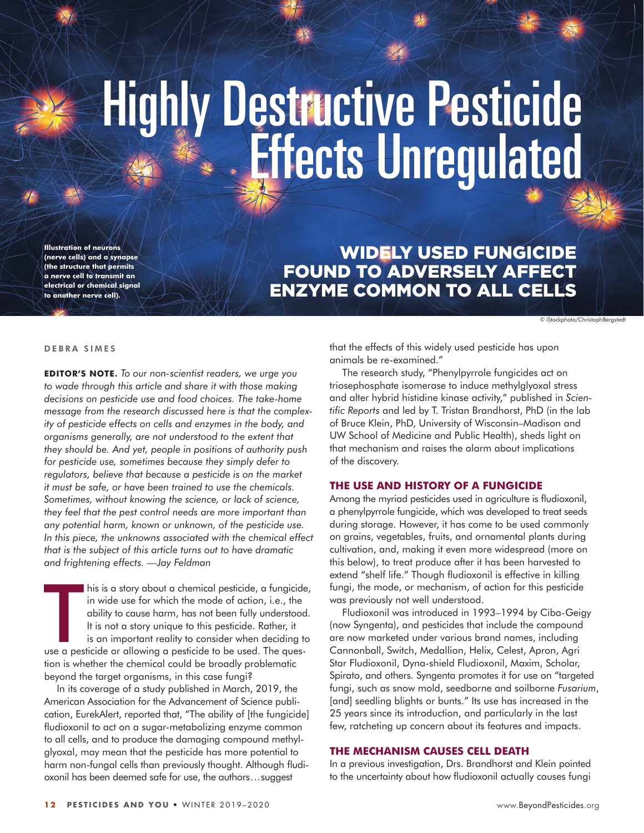# Highly Destructive Pesticide<br>Effects Unregulated

**Illustration of neuron (nerve cells) and a synapse (the structure that permits a nerve cell to transmit an electrical or chemical signal to another nerve cell).**

# [Widely used fungicide](https://beyondpesticides.org/dailynewsblog/2019/07/widely-used-fungicide-found-to-adversely-affect-enzyme-common-to-all-cells/) [found to adversely affect](https://beyondpesticides.org/dailynewsblog/2019/07/widely-used-fungicide-found-to-adversely-affect-enzyme-common-to-all-cells/) [enzyme common to ALL cells](https://beyondpesticides.org/dailynewsblog/2019/07/widely-used-fungicide-found-to-adversely-affect-enzyme-common-to-all-cells/)

© iStockphoto/ChristophBergstedt

#### DEBRA SIMES

**Editor 's Note .** *To our non-scientist readers, we urge you to wade through this article and share it with those making decisions on pesticide use and food choices. The take-home message from the research discussed here is that the complexity of pesticide effects on cells and enzymes in the body, and organisms generally, are not understood to the extent that they should be. And yet, people in positions of authority push for pesticide use, sometimes because they simply defer to regulators, believe that because a pesticide is on the market it must be safe, or have been trained to use the chemicals. Sometimes, without knowing the science, or lack of science, they feel that the pest control needs are more important than any potential harm, known or unknown, of the pesticide use. In this piece, the unknowns associated with the chemical effect that is the subject of this article turns out to have dramatic and frightening effects. —Jay Feldman*

In this is a story about a chemical pesticide, a fungicide<br>in wide use for which the mode of action, i.e., the<br>ability to cause harm, has not been fully understood<br>It is not a story unique to this pesticide. Rather, it<br>is his is a story about a chemical pesticide, a fungicide, in wide use for which the mode of action, i.e., the ability to cause harm, has not been fully understood. It is not a story unique to this pesticide. Rather, it is an important reality to consider when deciding to tion is whether the chemical could be broadly problematic beyond the target organisms, in this case fungi?

In its coverage of a study published in March, 2019, the [American Association for the Advancement of Science publi](https://www.eurekalert.org/pub_releases/2019-03/uow-nmo032119.php)cation, [EurekAlert,](https://www.eurekalert.org/pub_releases/2019-03/uow-nmo032119.php) reported that, "The ability of [the fungicide] fludioxonil to act on a sugar-metabolizing enzyme common to all cells, and to produce the damaging compound methylglyoxal, may mean that the pesticide has more potential to harm non-fungal cells than previously thought. Although fludioxonil has been deemed safe for use, the authors . . . suggest

that the effects of this widely used pesticide has upon animals be re-examined."

[The research study, "Phenylpyrrole fungicides act on](https://www.ncbi.nlm.nih.gov/pmc/articles/PMC6433957/)  [triosephosphate isomerase to induce methylglyoxal stress](https://www.ncbi.nlm.nih.gov/pmc/articles/PMC6433957/)  [and alter hybrid histidine kinase activity," published in](https://www.ncbi.nlm.nih.gov/pmc/articles/PMC6433957/) *Scien[tific Reports](https://www.ncbi.nlm.nih.gov/pmc/articles/PMC6433957/)* and led by T. Tristan Brandhorst, PhD (in the lab of Bruce Klein, PhD, University of Wisconsin–Madison and UW School of Medicine and Public Health), sheds light on that mechanism and raises the alarm about implications of the discovery.

# **The Use and History of a Fungicide**

Among the myriad pesticides used in agriculture is [fludioxonil](https://www.beyondpesticides.org/resources/pesticide-gateway?pesticideid=172), a phenylpyrrole fungicide, which was developed to treat seeds during storage. However, it has come to be used commonly on grains, vegetables, fruits, and ornamental plants during cultivation, and, making it even more widespread (more on this below), to treat produce after it has been harvested to extend "shelf life." Though fludioxonil is effective in killing fungi, the mode, or mechanism, of action for this pesticide was previously not well understood.

Fludioxonil was introduced in 1993–1994 by Ciba-Geigy (now Syngenta), and pesticides that include the compound are now marketed under various brand names, including Cannonball, Switch, Medallion, Helix, Celest, Apron, Agri Star Fludioxonil, Dyna-shield Fludioxonil, Maxim, Scholar, Spirato, and others. Syngenta promotes it for use on "targeted fungi, such as snow mold, seedborne and soilborne *Fusarium*, [and] seedling blights or bunts." Its use has increased in the 25 years since its introduction, and particularly in the last few, ratcheting up concern about its features and impacts.

# **The Mechanism Causes Cell Death**

In a previous investigation, Drs. Brandhorst and Klein [pointed](https://www.ncbi.nlm.nih.gov/pubmed/30458269)  [to the uncertainty](https://www.ncbi.nlm.nih.gov/pubmed/30458269) about how fludioxonil actually causes fungi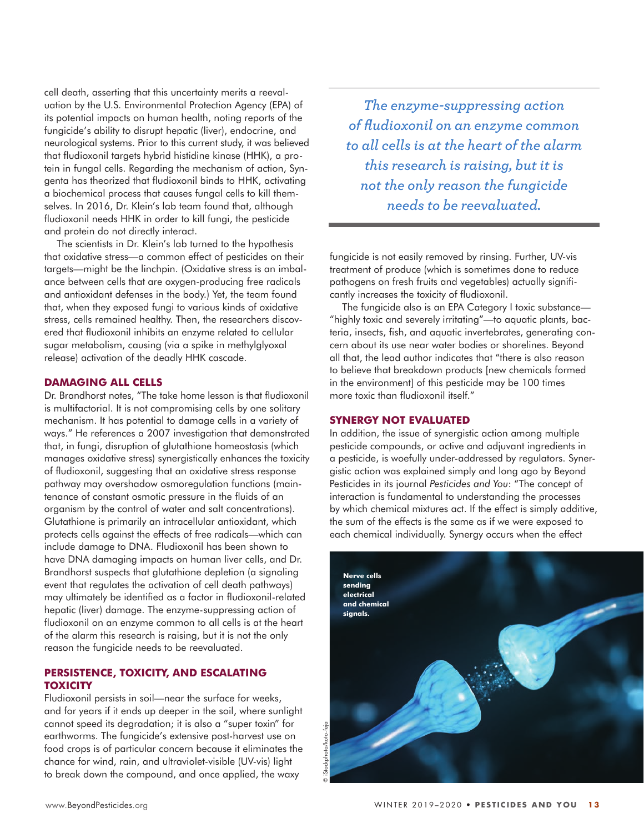cell death, asserting that this uncertainty merits a reevaluation by the U.S. Environmental Protection Agency (EPA) of its potential impacts on human health, noting reports of the fungicide's ability to disrupt hepatic (liver), endocrine, and neurological systems. Prior to this current study, it was believed that fludioxonil targets hybrid histidine kinase (HHK), a protein in fungal cells. Regarding the mechanism of action, Syngenta has theorized that fludioxonil binds to HHK, activating a biochemical process that causes fungal cells to kill themselves. In 2016, Dr. Klein's lab team found that, although fludioxonil needs HHK in order to kill fungi, the pesticide and protein do not directly interact.

The scientists in Dr. Klein's lab turned to the hypothesis that oxidative stress—a common effect of pesticides on their targets—might be the linchpin. (Oxidative stress is an imbalance between cells that are oxygen-producing free radicals and antioxidant defenses in the body.) Yet, the team found that, when they exposed fungi to various kinds of oxidative stress, cells remained healthy. Then, the researchers discovered that fludioxonil inhibits an enzyme related to cellular sugar metabolism, causing (via a spike in methylglyoxal release) activation of the deadly HHK cascade.

# **Damaging All Cells**

[Dr. Brandhorst notes,](https://www.eurekalert.org/pub_releases/2019-03/uow-nmo032119.php) "The take home lesson is that fludioxonil is multifactorial. It is not compromising cells by one solitary mechanism. It has potential to damage cells in a variety of ways." He references [a 2007 investigation](https://www.ncbi.nlm.nih.gov/pubmed/17355596) that demonstrated that, in fungi, disruption of glutathione homeostasis (which manages oxidative stress) synergistically enhances the toxicity of fludioxonil, suggesting that an oxidative stress response pathway may overshadow osmoregulation functions (maintenance of constant osmotic pressure in the fluids of an organism by the control of water and salt concentrations). Glutathione is primarily an intracellular antioxidant, which protects cells against the effects of free radicals—which can include damage to DNA. Fludioxonil has been shown to have [DNA damaging impacts on human liver cells,](https://www.nature.com/articles/s41598-019-41564-9) and Dr. Brandhorst suspects that glutathione depletion (a signaling event that regulates the activation of cell death pathways) may ultimately be identified as a factor in fludioxonil-related hepatic (liver) damage. The enzyme-suppressing action of fludioxonil on an enzyme common to all cells is at the heart of the alarm this research is raising, but it is not the only reason the fungicide needs to be reevaluated.

# **PERSISTENCE, TOXICITY, AND ESCALATING Toxicity**

Fludioxonil persists in soil—near the surface for weeks, and for years if it ends up deeper in the soil, where sunlight cannot speed its degradation; it is also a ["super toxin" for](https://www.ncbi.nlm.nih.gov/pubmed/30569353)  [earthworms.](https://www.ncbi.nlm.nih.gov/pubmed/30569353) The fungicide's extensive post-harvest use on food crops is of particular concern because it eliminates the chance for wind, rain, and ultraviolet-visible (UV-vis) light to break down the compound, and once applied, [the waxy](https://www.ncbi.nlm.nih.gov/pubmed/26169141) 

*The enzyme-suppressing action of fludioxonil on an enzyme common to all cells is at the heart of the alarm this research is raising, but it is not the only reason the fungicide needs to be reevaluated.*

[fungicide is not easily removed by rinsing.](https://www.ncbi.nlm.nih.gov/pubmed/26169141) Further, [UV-vis](https://www.ncbi.nlm.nih.gov/pubmed/26169141)  [treatment of produce](https://www.ncbi.nlm.nih.gov/pubmed/26169141) (which is sometimes done to reduce pathogens on fresh fruits and vegetables) actually significantly increases the toxicity of fludioxonil.

The fungicide also is an EPA Category I toxic substance— "highly toxic and severely irritating"—to aquatic plants, bacteria, insects, fish, and aquatic invertebrates, generating concern about its use near water bodies or shorelines. Beyond all that, the lead author indicates that "there is also reason to believe that breakdown products [new chemicals formed in the environment] of this pesticide may be 100 times more toxic than fludioxonil itself."

# **Synergy Not Evaluated**

In addition, the issue of synergistic action among multiple pesticide compounds, or active and adjuvant ingredients in a pesticide, is woefully under-addressed by regulators. Synergistic action was [explained simply and long ago by Beyond](https://beyondpesticides.org/assets/media/documents/infoservices/pesticidesandyou/Winter%2003-04/Synergy.pdf)  [Pesticides in its journal](https://beyondpesticides.org/assets/media/documents/infoservices/pesticidesandyou/Winter%2003-04/Synergy.pdf) *Pesticides and You*: "The concept of interaction is fundamental to understanding the processes by which chemical mixtures act. If the effect is simply additive, the sum of the effects is the same as if we were exposed to each chemical individually. Synergy occurs when the effect